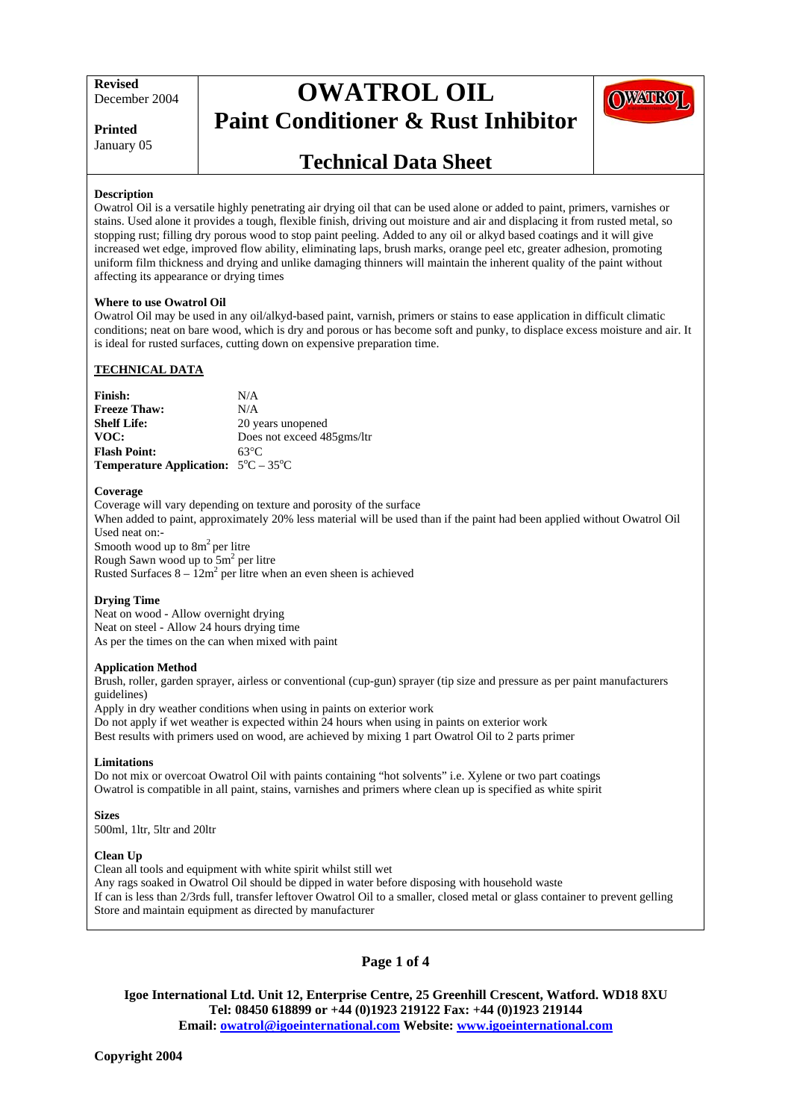# **OWATROL OIL Paint Conditioner & Rust Inhibitor**





### **Technical Data Sheet**

#### **Description**

Owatrol Oil is a versatile highly penetrating air drying oil that can be used alone or added to paint, primers, varnishes or stains. Used alone it provides a tough, flexible finish, driving out moisture and air and displacing it from rusted metal, so stopping rust; filling dry porous wood to stop paint peeling. Added to any oil or alkyd based coatings and it will give increased wet edge, improved flow ability, eliminating laps, brush marks, orange peel etc, greater adhesion, promoting uniform film thickness and drying and unlike damaging thinners will maintain the inherent quality of the paint without affecting its appearance or drying times

#### **Where to use Owatrol Oil**

Owatrol Oil may be used in any oil/alkyd-based paint, varnish, primers or stains to ease application in difficult climatic conditions; neat on bare wood, which is dry and porous or has become soft and punky, to displace excess moisture and air. It is ideal for rusted surfaces, cutting down on expensive preparation time.

#### **TECHNICAL DATA**

| <b>Finish:</b>                                             | N/A                        |
|------------------------------------------------------------|----------------------------|
| <b>Freeze Thaw:</b>                                        | N/A                        |
| <b>Shelf Life:</b>                                         | 20 years unopened          |
| VOC:                                                       | Does not exceed 485gms/ltr |
| <b>Flash Point:</b>                                        | 63°C                       |
| <b>Temperature Application:</b> $5^{\circ}C - 35^{\circ}C$ |                            |

#### **Coverage**

Coverage will vary depending on texture and porosity of the surface When added to paint, approximately 20% less material will be used than if the paint had been applied without Owatrol Oil Used neat on:- Smooth wood up to  $8m^2$  per litre Rough Sawn wood up to  $5m^2$  per litre Rusted Surfaces  $8 - 12m^2$  per litre when an even sheen is achieved

#### **Drying Time**

Neat on wood - Allow overnight drying Neat on steel - Allow 24 hours drying time As per the times on the can when mixed with paint

#### **Application Method**

Brush, roller, garden sprayer, airless or conventional (cup-gun) sprayer (tip size and pressure as per paint manufacturers guidelines)

Apply in dry weather conditions when using in paints on exterior work Do not apply if wet weather is expected within 24 hours when using in paints on exterior work Best results with primers used on wood, are achieved by mixing 1 part Owatrol Oil to 2 parts primer

#### **Limitations**

Do not mix or overcoat Owatrol Oil with paints containing "hot solvents" i.e. Xylene or two part coatings Owatrol is compatible in all paint, stains, varnishes and primers where clean up is specified as white spirit

**Sizes**  500ml, 1ltr, 5ltr and 20ltr

#### **Clean Up**

Clean all tools and equipment with white spirit whilst still wet Any rags soaked in Owatrol Oil should be dipped in water before disposing with household waste If can is less than 2/3rds full, transfer leftover Owatrol Oil to a smaller, closed metal or glass container to prevent gelling Store and maintain equipment as directed by manufacturer

### **Page 1 of 4**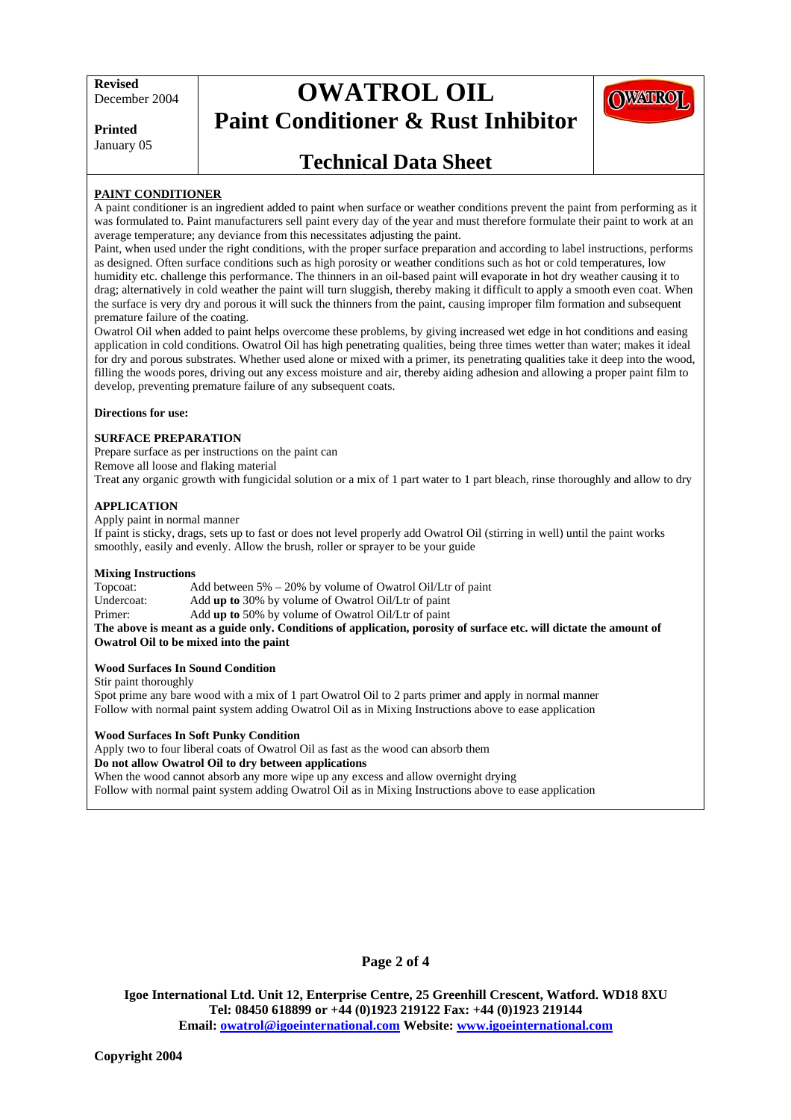# **OWATROL OIL Paint Conditioner & Rust Inhibitor**



**Printed**  January 05

### **Technical Data Sheet**

#### **PAINT CONDITIONER**

A paint conditioner is an ingredient added to paint when surface or weather conditions prevent the paint from performing as it was formulated to. Paint manufacturers sell paint every day of the year and must therefore formulate their paint to work at an average temperature; any deviance from this necessitates adjusting the paint.

Paint, when used under the right conditions, with the proper surface preparation and according to label instructions, performs as designed. Often surface conditions such as high porosity or weather conditions such as hot or cold temperatures, low humidity etc. challenge this performance. The thinners in an oil-based paint will evaporate in hot dry weather causing it to drag; alternatively in cold weather the paint will turn sluggish, thereby making it difficult to apply a smooth even coat. When the surface is very dry and porous it will suck the thinners from the paint, causing improper film formation and subsequent premature failure of the coating.

Owatrol Oil when added to paint helps overcome these problems, by giving increased wet edge in hot conditions and easing application in cold conditions. Owatrol Oil has high penetrating qualities, being three times wetter than water; makes it ideal for dry and porous substrates. Whether used alone or mixed with a primer, its penetrating qualities take it deep into the wood, filling the woods pores, driving out any excess moisture and air, thereby aiding adhesion and allowing a proper paint film to develop, preventing premature failure of any subsequent coats.

**Directions for use:** 

#### **SURFACE PREPARATION**

Prepare surface as per instructions on the paint can

Remove all loose and flaking material

Treat any organic growth with fungicidal solution or a mix of 1 part water to 1 part bleach, rinse thoroughly and allow to dry

#### **APPLICATION**

Apply paint in normal manner

If paint is sticky, drags, sets up to fast or does not level properly add Owatrol Oil (stirring in well) until the paint works smoothly, easily and evenly. Allow the brush, roller or sprayer to be your guide

#### **Mixing Instructions**

Topcoat: Add between 5% – 20% by volume of Owatrol Oil/Ltr of paint Undercoat: Add **up to** 30% by volume of Owatrol Oil/Ltr of paint Primer: Add **up to** 50% by volume of Owatrol Oil/Ltr of paint

**The above is meant as a guide only. Conditions of application, porosity of surface etc. will dictate the amount of Owatrol Oil to be mixed into the paint** 

#### **Wood Surfaces In Sound Condition**

Stir paint thoroughly

Spot prime any bare wood with a mix of 1 part Owatrol Oil to 2 parts primer and apply in normal manner Follow with normal paint system adding Owatrol Oil as in Mixing Instructions above to ease application

#### **Wood Surfaces In Soft Punky Condition**

Apply two to four liberal coats of Owatrol Oil as fast as the wood can absorb them

#### **Do not allow Owatrol Oil to dry between applications**

When the wood cannot absorb any more wipe up any excess and allow overnight drying Follow with normal paint system adding Owatrol Oil as in Mixing Instructions above to ease application

#### **Page 2 of 4**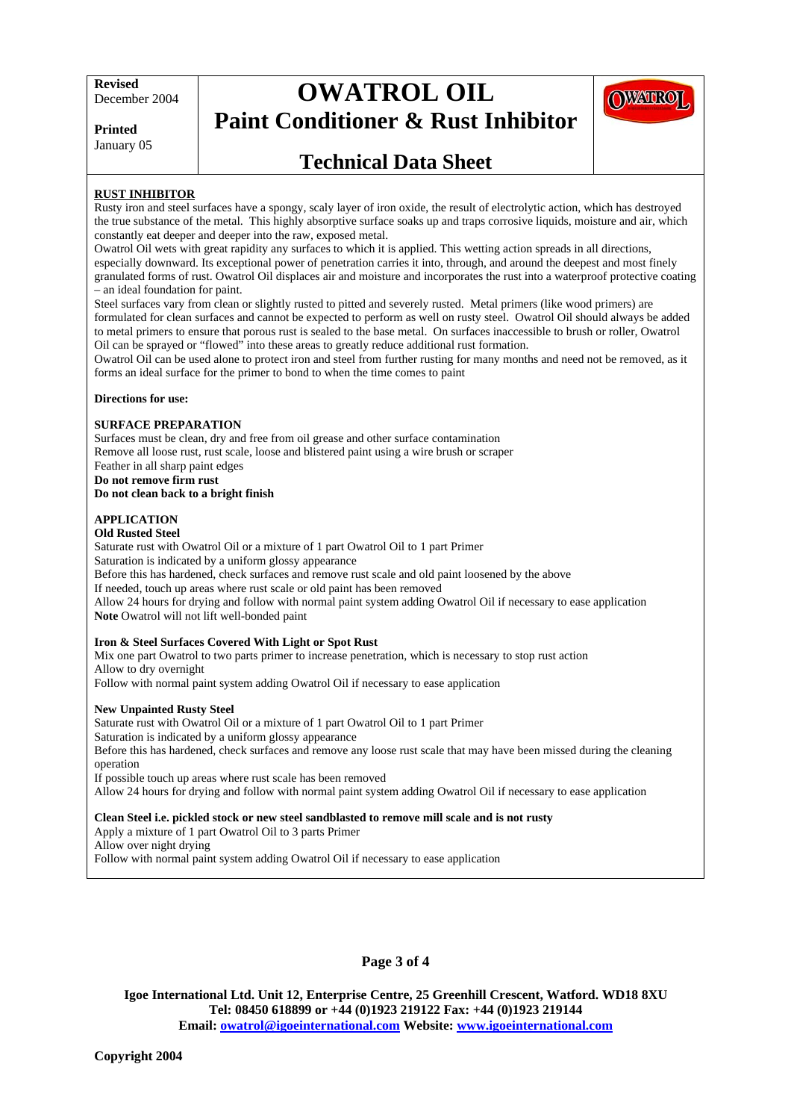# **OWATROL OIL Paint Conditioner & Rust Inhibitor**



**Printed**  January 05

## **Technical Data Sheet**

#### **RUST INHIBITOR**

Rusty iron and steel surfaces have a spongy, scaly layer of iron oxide, the result of electrolytic action, which has destroyed the true substance of the metal. This highly absorptive surface soaks up and traps corrosive liquids, moisture and air, which constantly eat deeper and deeper into the raw, exposed metal.

Owatrol Oil wets with great rapidity any surfaces to which it is applied. This wetting action spreads in all directions, especially downward. Its exceptional power of penetration carries it into, through, and around the deepest and most finely granulated forms of rust. Owatrol Oil displaces air and moisture and incorporates the rust into a waterproof protective coating – an ideal foundation for paint.

Steel surfaces vary from clean or slightly rusted to pitted and severely rusted. Metal primers (like wood primers) are formulated for clean surfaces and cannot be expected to perform as well on rusty steel. Owatrol Oil should always be added to metal primers to ensure that porous rust is sealed to the base metal. On surfaces inaccessible to brush or roller, Owatrol Oil can be sprayed or "flowed" into these areas to greatly reduce additional rust formation.

Owatrol Oil can be used alone to protect iron and steel from further rusting for many months and need not be removed, as it forms an ideal surface for the primer to bond to when the time comes to paint

#### **Directions for use:**

#### **SURFACE PREPARATION**

Surfaces must be clean, dry and free from oil grease and other surface contamination Remove all loose rust, rust scale, loose and blistered paint using a wire brush or scraper Feather in all sharp paint edges **Do not remove firm rust**

**Do not clean back to a bright finish** 

### **APPLICATION**

**Old Rusted Steel**  Saturate rust with Owatrol Oil or a mixture of 1 part Owatrol Oil to 1 part Primer Saturation is indicated by a uniform glossy appearance Before this has hardened, check surfaces and remove rust scale and old paint loosened by the above If needed, touch up areas where rust scale or old paint has been removed Allow 24 hours for drying and follow with normal paint system adding Owatrol Oil if necessary to ease application **Note** Owatrol will not lift well-bonded paint

#### **Iron & Steel Surfaces Covered With Light or Spot Rust**

Mix one part Owatrol to two parts primer to increase penetration, which is necessary to stop rust action Allow to dry overnight

Follow with normal paint system adding Owatrol Oil if necessary to ease application

#### **New Unpainted Rusty Steel**

Saturate rust with Owatrol Oil or a mixture of 1 part Owatrol Oil to 1 part Primer Saturation is indicated by a uniform glossy appearance Before this has hardened, check surfaces and remove any loose rust scale that may have been missed during the cleaning operation If possible touch up areas where rust scale has been removed Allow 24 hours for drying and follow with normal paint system adding Owatrol Oil if necessary to ease application

#### **Clean Steel i.e. pickled stock or new steel sandblasted to remove mill scale and is not rusty**

Apply a mixture of 1 part Owatrol Oil to 3 parts Primer

Allow over night drying

Follow with normal paint system adding Owatrol Oil if necessary to ease application

#### **Page 3 of 4**